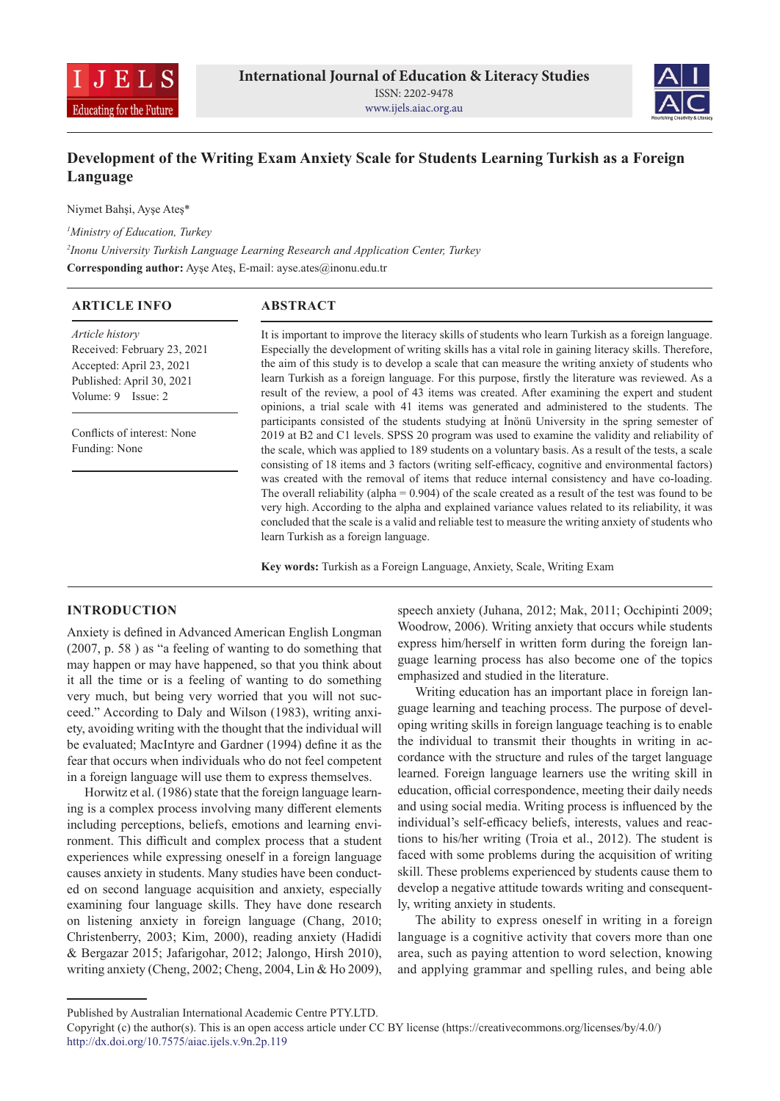



# **Development of the Writing Exam Anxiety Scale for Students Learning Turkish as a Foreign Language**

Niymet Bahşi, Ayşe Ateş\*

*1 Ministry of Education, Turkey*

*2 Inonu University Turkish Language Learning Research and Application Center, Turkey*

**Corresponding author:** Ayşe Ateş, E-mail: ayse.ates@inonu.edu.tr

| <b>ARTICLE INFO</b>         | <b>ABSTRACT</b>                                                                                         |
|-----------------------------|---------------------------------------------------------------------------------------------------------|
| Article history             | It is important to improve the literacy skills of students who learn Turkish as a foreign language.     |
| Received: February 23, 2021 | Especially the development of writing skills has a vital role in gaining literacy skills. Therefore,    |
| Accepted: April 23, 2021    | the aim of this study is to develop a scale that can measure the writing anxiety of students who        |
| Published: April 30, 2021   | learn Turkish as a foreign language. For this purpose, firstly the literature was reviewed. As a        |
| Volume: $9$ Issue: $2$      | result of the review, a pool of 43 items was created. After examining the expert and student            |
|                             | opinions, a trial scale with 41 items was generated and administered to the students. The               |
| Conflicts of interest: None | participants consisted of the students studying at İnönü University in the spring semester of           |
|                             | 2019 at B2 and C1 levels. SPSS 20 program was used to examine the validity and reliability of           |
| Funding: None               | the scale, which was applied to 189 students on a voluntary basis. As a result of the tests, a scale    |
|                             | consisting of 18 items and 3 factors (writing self-efficacy, cognitive and environmental factors)       |
|                             | was created with the removal of items that reduce internal consistency and have co-loading.             |
|                             | The overall reliability (alpha = $0.904$ ) of the scale created as a result of the test was found to be |
|                             | very high. According to the alpha and explained variance values related to its reliability, it was      |
|                             | concluded that the scale is a valid and reliable test to measure the writing anxiety of students who    |
|                             | learn Turkish as a foreign language.                                                                    |

**Key words:** Turkish as a Foreign Language, Anxiety, Scale, Writing Exam

# **INTRODUCTION**

Anxiety is defined in Advanced American English Longman (2007, p. 58 ) as "a feeling of wanting to do something that may happen or may have happened, so that you think about it all the time or is a feeling of wanting to do something very much, but being very worried that you will not succeed." According to Daly and Wilson (1983), writing anxiety, avoiding writing with the thought that the individual will be evaluated; MacIntyre and Gardner (1994) define it as the fear that occurs when individuals who do not feel competent in a foreign language will use them to express themselves.

Horwitz et al. (1986) state that the foreign language learning is a complex process involving many different elements including perceptions, beliefs, emotions and learning environment. This difficult and complex process that a student experiences while expressing oneself in a foreign language causes anxiety in students. Many studies have been conducted on second language acquisition and anxiety, especially examining four language skills. They have done research on listening anxiety in foreign language (Chang, 2010; Christenberry, 2003; Kim, 2000), reading anxiety (Hadidi & Bergazar 2015; Jafarigohar, 2012; Jalongo, Hirsh 2010), writing anxiety (Cheng, 2002; Cheng, 2004, Lin & Ho 2009), speech anxiety (Juhana, 2012; Mak, 2011; Occhipinti 2009; Woodrow, 2006). Writing anxiety that occurs while students express him/herself in written form during the foreign language learning process has also become one of the topics emphasized and studied in the literature.

Writing education has an important place in foreign language learning and teaching process. The purpose of developing writing skills in foreign language teaching is to enable the individual to transmit their thoughts in writing in accordance with the structure and rules of the target language learned. Foreign language learners use the writing skill in education, official correspondence, meeting their daily needs and using social media. Writing process is influenced by the individual's self-efficacy beliefs, interests, values and reactions to his/her writing (Troia et al., 2012). The student is faced with some problems during the acquisition of writing skill. These problems experienced by students cause them to develop a negative attitude towards writing and consequently, writing anxiety in students.

The ability to express oneself in writing in a foreign language is a cognitive activity that covers more than one area, such as paying attention to word selection, knowing and applying grammar and spelling rules, and being able

Published by Australian International Academic Centre PTY.LTD.

Copyright (c) the author(s). This is an open access article under CC BY license (https://creativecommons.org/licenses/by/4.0/) http://dx.doi.org/10.7575/aiac.ijels.v.9n.2p.119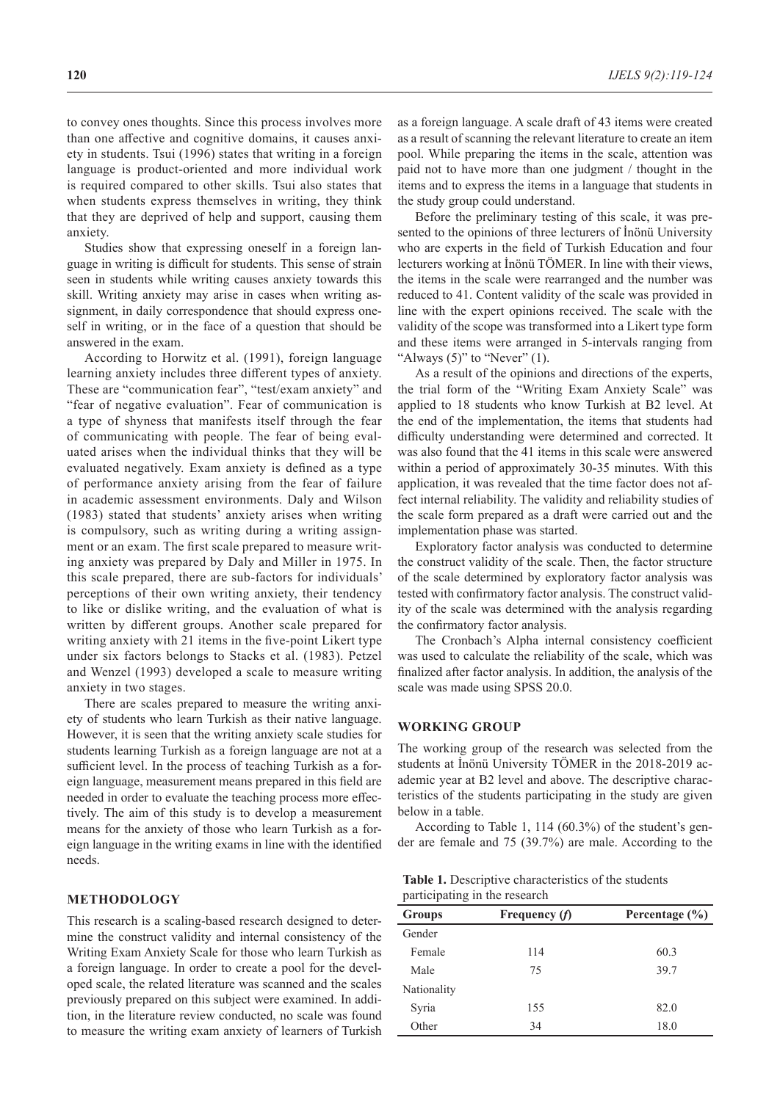to convey ones thoughts. Since this process involves more than one affective and cognitive domains, it causes anxiety in students. Tsui (1996) states that writing in a foreign language is product-oriented and more individual work is required compared to other skills. Tsui also states that when students express themselves in writing, they think that they are deprived of help and support, causing them anxiety.

Studies show that expressing oneself in a foreign language in writing is difficult for students. This sense of strain seen in students while writing causes anxiety towards this skill. Writing anxiety may arise in cases when writing assignment, in daily correspondence that should express oneself in writing, or in the face of a question that should be answered in the exam.

According to Horwitz et al. (1991), foreign language learning anxiety includes three different types of anxiety. These are "communication fear", "test/exam anxiety" and "fear of negative evaluation". Fear of communication is a type of shyness that manifests itself through the fear of communicating with people. The fear of being evaluated arises when the individual thinks that they will be evaluated negatively. Exam anxiety is defined as a type of performance anxiety arising from the fear of failure in academic assessment environments. Daly and Wilson (1983) stated that students' anxiety arises when writing is compulsory, such as writing during a writing assignment or an exam. The first scale prepared to measure writing anxiety was prepared by Daly and Miller in 1975. In this scale prepared, there are sub-factors for individuals' perceptions of their own writing anxiety, their tendency to like or dislike writing, and the evaluation of what is written by different groups. Another scale prepared for writing anxiety with 21 items in the five-point Likert type under six factors belongs to Stacks et al. (1983). Petzel and Wenzel (1993) developed a scale to measure writing anxiety in two stages.

There are scales prepared to measure the writing anxiety of students who learn Turkish as their native language. However, it is seen that the writing anxiety scale studies for students learning Turkish as a foreign language are not at a sufficient level. In the process of teaching Turkish as a foreign language, measurement means prepared in this field are needed in order to evaluate the teaching process more effectively. The aim of this study is to develop a measurement means for the anxiety of those who learn Turkish as a foreign language in the writing exams in line with the identified needs.

## **METHODOLOGY**

This research is a scaling-based research designed to determine the construct validity and internal consistency of the Writing Exam Anxiety Scale for those who learn Turkish as a foreign language. In order to create a pool for the developed scale, the related literature was scanned and the scales previously prepared on this subject were examined. In addition, in the literature review conducted, no scale was found to measure the writing exam anxiety of learners of Turkish

as a foreign language. A scale draft of 43 items were created as a result of scanning the relevant literature to create an item pool. While preparing the items in the scale, attention was paid not to have more than one judgment / thought in the items and to express the items in a language that students in the study group could understand.

Before the preliminary testing of this scale, it was presented to the opinions of three lecturers of İnönü University who are experts in the field of Turkish Education and four lecturers working at İnönü TÖMER. In line with their views, the items in the scale were rearranged and the number was reduced to 41. Content validity of the scale was provided in line with the expert opinions received. The scale with the validity of the scope was transformed into a Likert type form and these items were arranged in 5-intervals ranging from "Always  $(5)$ " to "Never"  $(1)$ .

As a result of the opinions and directions of the experts, the trial form of the "Writing Exam Anxiety Scale" was applied to 18 students who know Turkish at B2 level. At the end of the implementation, the items that students had difficulty understanding were determined and corrected. It was also found that the 41 items in this scale were answered within a period of approximately 30-35 minutes. With this application, it was revealed that the time factor does not affect internal reliability. The validity and reliability studies of the scale form prepared as a draft were carried out and the implementation phase was started.

Exploratory factor analysis was conducted to determine the construct validity of the scale. Then, the factor structure of the scale determined by exploratory factor analysis was tested with confirmatory factor analysis. The construct validity of the scale was determined with the analysis regarding the confirmatory factor analysis.

The Cronbach's Alpha internal consistency coefficient was used to calculate the reliability of the scale, which was finalized after factor analysis. In addition, the analysis of the scale was made using SPSS 20.0.

#### **WORKING GROUP**

The working group of the research was selected from the students at İnönü University TÖMER in the 2018-2019 academic year at B2 level and above. The descriptive characteristics of the students participating in the study are given below in a table.

According to Table 1, 114 (60.3%) of the student's gender are female and 75 (39.7%) are male. According to the

| Table 1. Descriptive characteristics of the students |  |
|------------------------------------------------------|--|
| participating in the research                        |  |

| <b>Groups</b> | Frequency $(f)$ | Percentage $(\% )$ |
|---------------|-----------------|--------------------|
| Gender        |                 |                    |
| Female        | 114             | 60.3               |
| Male          | 75              | 39.7               |
| Nationality   |                 |                    |
| Syria         | 155             | 82.0               |
| Other         | 34              | 18.0               |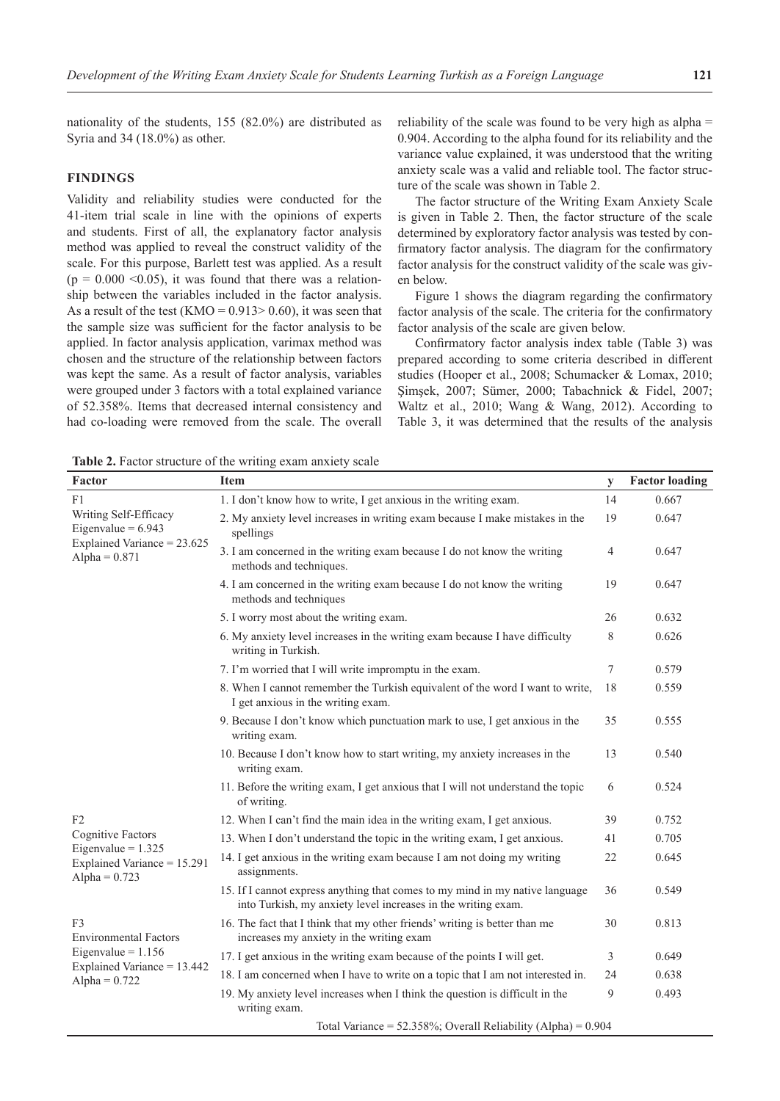nationality of the students, 155 (82.0%) are distributed as Syria and 34 (18.0%) as other.

# **FINDINGS**

Validity and reliability studies were conducted for the 41-item trial scale in line with the opinions of experts and students. First of all, the explanatory factor analysis method was applied to reveal the construct validity of the scale. For this purpose, Barlett test was applied. As a result  $(p = 0.000 \le 0.05)$ , it was found that there was a relationship between the variables included in the factor analysis. As a result of the test  $(KMO = 0.913 > 0.60)$ , it was seen that the sample size was sufficient for the factor analysis to be applied. In factor analysis application, varimax method was chosen and the structure of the relationship between factors was kept the same. As a result of factor analysis, variables were grouped under 3 factors with a total explained variance of 52.358%. Items that decreased internal consistency and had co-loading were removed from the scale. The overall

reliability of the scale was found to be very high as alpha = 0.904. According to the alpha found for its reliability and the variance value explained, it was understood that the writing anxiety scale was a valid and reliable tool. The factor structure of the scale was shown in Table 2.

The factor structure of the Writing Exam Anxiety Scale is given in Table 2. Then, the factor structure of the scale determined by exploratory factor analysis was tested by confirmatory factor analysis. The diagram for the confirmatory factor analysis for the construct validity of the scale was given below.

Figure 1 shows the diagram regarding the confirmatory factor analysis of the scale. The criteria for the confirmatory factor analysis of the scale are given below.

Confirmatory factor analysis index table (Table 3) was prepared according to some criteria described in different studies (Hooper et al., 2008; Schumacker & Lomax, 2010; Şimşek, 2007; Sümer, 2000; Tabachnick & Fidel, 2007; Waltz et al., 2010; Wang & Wang, 2012). According to Table 3, it was determined that the results of the analysis

**Table 2.** Factor structure of the writing exam anxiety scale

| Factor                                                                 | <b>Item</b>                                                                                                                                   | y  | <b>Factor loading</b> |
|------------------------------------------------------------------------|-----------------------------------------------------------------------------------------------------------------------------------------------|----|-----------------------|
| F1                                                                     | 1. I don't know how to write, I get anxious in the writing exam.                                                                              | 14 | 0.667                 |
| Writing Self-Efficacy<br>Eigenvalue = $6.943$                          | 2. My anxiety level increases in writing exam because I make mistakes in the<br>spellings                                                     | 19 | 0.647                 |
| Explained Variance = 23.625<br>Alpha = $0.871$                         | 3. I am concerned in the writing exam because I do not know the writing<br>methods and techniques.                                            | 4  | 0.647                 |
|                                                                        | 4. I am concerned in the writing exam because I do not know the writing<br>methods and techniques                                             | 19 | 0.647                 |
|                                                                        | 5. I worry most about the writing exam.                                                                                                       | 26 | 0.632                 |
|                                                                        | 6. My anxiety level increases in the writing exam because I have difficulty<br>writing in Turkish.                                            | 8  | 0.626                 |
|                                                                        | 7. I'm worried that I will write impromptu in the exam.                                                                                       | 7  | 0.579                 |
|                                                                        | 8. When I cannot remember the Turkish equivalent of the word I want to write,<br>I get anxious in the writing exam.                           | 18 | 0.559                 |
|                                                                        | 9. Because I don't know which punctuation mark to use, I get anxious in the<br>writing exam.                                                  | 35 | 0.555                 |
|                                                                        | 10. Because I don't know how to start writing, my anxiety increases in the<br>writing exam.                                                   | 13 | 0.540                 |
|                                                                        | 11. Before the writing exam, I get anxious that I will not understand the topic<br>of writing.                                                | 6  | 0.524                 |
| F2                                                                     | 12. When I can't find the main idea in the writing exam, I get anxious.                                                                       | 39 | 0.752                 |
| <b>Cognitive Factors</b>                                               | 13. When I don't understand the topic in the writing exam, I get anxious.                                                                     | 41 | 0.705                 |
| Eigenvalue = $1.325$<br>Explained Variance = 15.291<br>Alpha = $0.723$ | 14. I get anxious in the writing exam because I am not doing my writing<br>assignments.                                                       | 22 | 0.645                 |
|                                                                        | 15. If I cannot express anything that comes to my mind in my native language<br>into Turkish, my anxiety level increases in the writing exam. | 36 | 0.549                 |
| F <sub>3</sub><br><b>Environmental Factors</b>                         | 16. The fact that I think that my other friends' writing is better than me<br>increases my anxiety in the writing exam                        | 30 | 0.813                 |
| Eigenvalue = $1.156$                                                   | 17. I get anxious in the writing exam because of the points I will get.                                                                       | 3  | 0.649                 |
| Explained Variance = 13.442<br>Alpha = $0.722$                         | 18. I am concerned when I have to write on a topic that I am not interested in.                                                               | 24 | 0.638                 |
|                                                                        | 19. My anxiety level increases when I think the question is difficult in the<br>writing exam.                                                 | 9  | 0.493                 |
|                                                                        | Total Variance = $52.358\%$ ; Overall Reliability (Alpha) = $0.904$                                                                           |    |                       |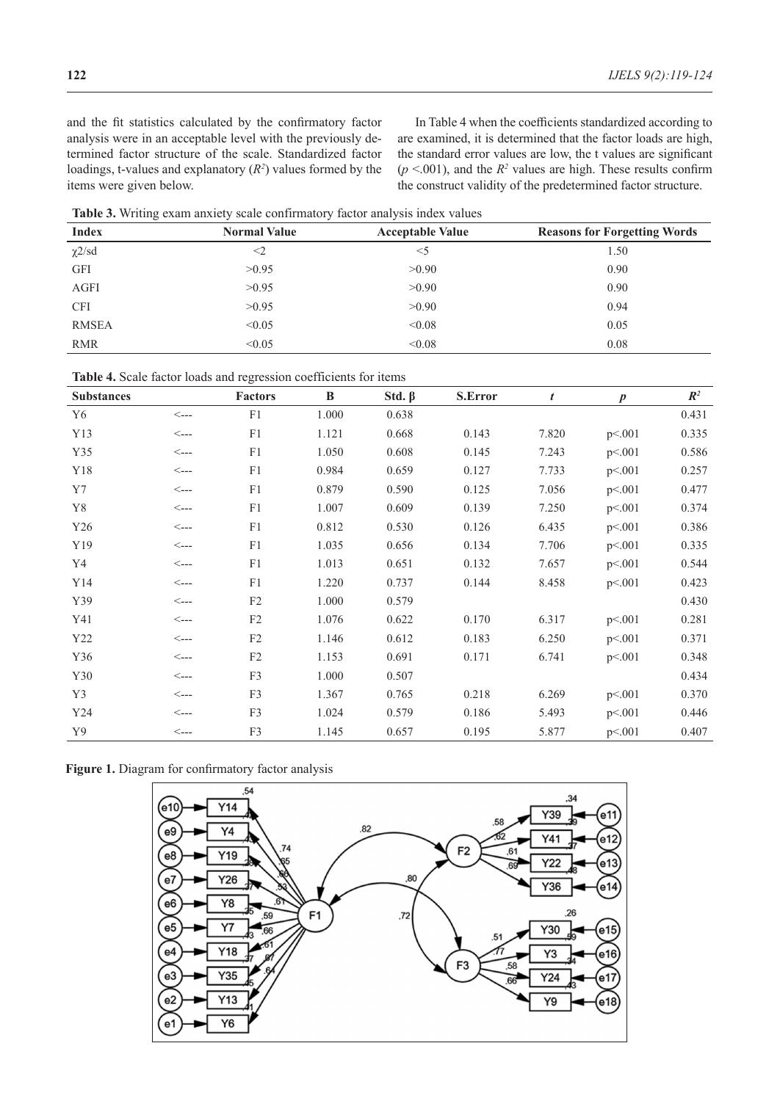and the fit statistics calculated by the confirmatory factor analysis were in an acceptable level with the previously determined factor structure of the scale. Standardized factor loadings, t-values and explanatory (*R2* ) values formed by the items were given below.

In Table 4 when the coefficients standardized according to are examined, it is determined that the factor loads are high, the standard error values are low, the t values are significant  $(p \le 0.001)$ , and the  $R^2$  values are high. These results confirm the construct validity of the predetermined factor structure.

**Table 3.** Writing exam anxiety scale confirmatory factor analysis index values

| <b>Index</b> | <b>Normal Value</b> | <b>Acceptable Value</b> | <b>Reasons for Forgetting Words</b> |
|--------------|---------------------|-------------------------|-------------------------------------|
| $\chi$ 2/sd  | $<$ 2               | $<$ 5                   | 1.50                                |
| <b>GFI</b>   | >0.95               | >0.90                   | 0.90                                |
| AGFI         | >0.95               | >0.90                   | 0.90                                |
| <b>CFI</b>   | >0.95               | >0.90                   | 0.94                                |
| <b>RMSEA</b> | < 0.05              | < 0.08                  | 0.05                                |
| <b>RMR</b>   | < 0.05              | < 0.08                  | 0.08                                |

| Table 4. Scale factor loads and regression coefficients for items |  |  |  |  |
|-------------------------------------------------------------------|--|--|--|--|
|                                                                   |  |  |  |  |

| <b>Substances</b> |                  | <b>Factors</b> | B     | Std. $\beta$ | <b>S.Error</b> | t     | $\boldsymbol{p}$ | $\mathbb{R}^2$ |
|-------------------|------------------|----------------|-------|--------------|----------------|-------|------------------|----------------|
| Y6                | $\leftarrow$ --- | F1             | 1.000 | 0.638        |                |       |                  | 0.431          |
| Y13               | $\leftarrow$ --- | F1             | 1.121 | 0.668        | 0.143          | 7.820 | p<.001           | 0.335          |
| Y35               | $\leftarrow$ --- | F1             | 1.050 | 0.608        | 0.145          | 7.243 | p<.001           | 0.586          |
| Y18               | $\leftarrow$ --- | F1             | 0.984 | 0.659        | 0.127          | 7.733 | p<.001           | 0.257          |
| Y7                | $\leftarrow$     | F1             | 0.879 | 0.590        | 0.125          | 7.056 | p<.001           | 0.477          |
| Y8                | $\leftarrow$     | F1             | 1.007 | 0.609        | 0.139          | 7.250 | p<.001           | 0.374          |
| Y26               | $\leftarrow$     | ${\rm F}1$     | 0.812 | 0.530        | 0.126          | 6.435 | p<.001           | 0.386          |
| Y19               | $\leftarrow$     | ${\rm F}1$     | 1.035 | 0.656        | 0.134          | 7.706 | p<.001           | 0.335          |
| Y4                | $\leftarrow$     | ${\rm F}1$     | 1.013 | 0.651        | 0.132          | 7.657 | p<.001           | 0.544          |
| Y14               | $\leftarrow$     | F1             | 1.220 | 0.737        | 0.144          | 8.458 | p<.001           | 0.423          |
| Y39               | $\leftarrow$     | $\rm F2$       | 1.000 | 0.579        |                |       |                  | 0.430          |
| Y41               | $\leftarrow$     | F2             | 1.076 | 0.622        | 0.170          | 6.317 | p<.001           | 0.281          |
| Y22               | $\leftarrow$ --- | $\rm F2$       | 1.146 | 0.612        | 0.183          | 6.250 | p<.001           | 0.371          |
| Y36               | $\leftarrow$     | F2             | 1.153 | 0.691        | 0.171          | 6.741 | p<.001           | 0.348          |
| Y30               | $\leftarrow$     | F3             | 1.000 | 0.507        |                |       |                  | 0.434          |
| Y3                | $\leftarrow$     | F3             | 1.367 | 0.765        | 0.218          | 6.269 | p<.001           | 0.370          |
| Y24               | $\leftarrow$     | F3             | 1.024 | 0.579        | 0.186          | 5.493 | p<.001           | 0.446          |
| Y9                | $\leftarrow$     | F3             | 1.145 | 0.657        | 0.195          | 5.877 | p<.001           | 0.407          |

**Figure 1.** Diagram for confirmatory factor analysis

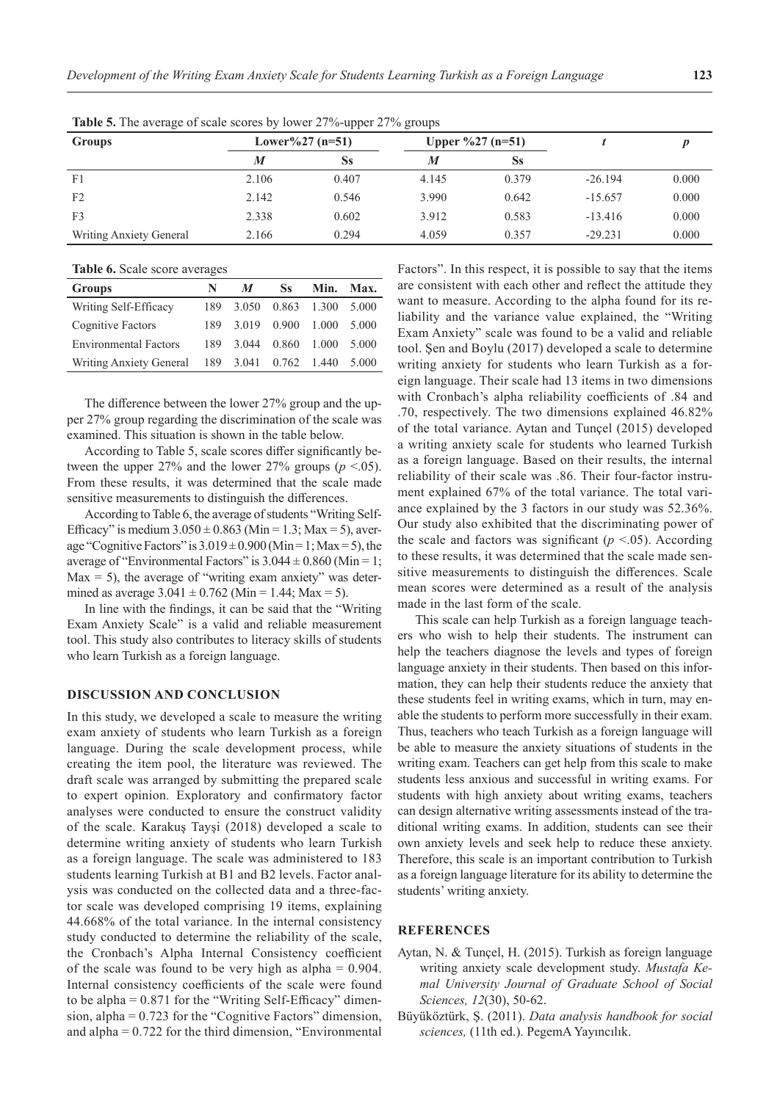| <b>Groups</b>           |       | Lower%27 $(n=51)$<br>Upper $\frac{627}{(n=51)}$ |       |       |           |       |  |
|-------------------------|-------|-------------------------------------------------|-------|-------|-----------|-------|--|
|                         | M     | <b>Ss</b>                                       | M     | Ss    |           |       |  |
| F <sub>1</sub>          | 2.106 | 0.407                                           | 4.145 | 0.379 | $-26.194$ | 0.000 |  |
| F <sub>2</sub>          | 2.142 | 0.546                                           | 3.990 | 0.642 | $-15.657$ | 0.000 |  |
| F <sub>3</sub>          | 2.338 | 0.602                                           | 3.912 | 0.583 | $-13.416$ | 0.000 |  |
| Writing Anxiety General | 2.166 | 0.294                                           | 4.059 | 0.357 | $-29.231$ | 0.000 |  |

**Table 5.** The average of scale scores by lower 27%-upper 27% groups

**Table 6.** Scale score averages

| N   | $\boldsymbol{M}$ | Ss    | Min.  | Max.                  |
|-----|------------------|-------|-------|-----------------------|
| 189 | 3.050            | 0.863 | 1.300 | 5.000                 |
| 189 | 3.019            | 0.900 | 1.000 | 5.000                 |
| 189 | 3.044            | 0.860 | 1.000 | 5.000                 |
|     |                  |       |       | 5.000                 |
|     |                  |       |       | 189 3.041 0.762 1.440 |

The difference between the lower 27% group and the upper 27% group regarding the discrimination of the scale was examined. This situation is shown in the table below.

According to Table 5, scale scores differ significantly between the upper 27% and the lower 27% groups  $(p < .05)$ . From these results, it was determined that the scale made sensitive measurements to distinguish the differences.

According to Table 6, the average of students "Writing Self-Efficacy" is medium  $3.050 \pm 0.863$  (Min = 1.3; Max = 5), average "Cognitive Factors" is  $3.019 \pm 0.900$  (Min = 1; Max = 5), the average of "Environmental Factors" is  $3.044 \pm 0.860$  (Min = 1;  $Max = 5$ ), the average of "writing exam anxiety" was determined as average  $3.041 \pm 0.762$  (Min = 1.44; Max = 5).

In line with the findings, it can be said that the "Writing Exam Anxiety Scale" is a valid and reliable measurement tool. This study also contributes to literacy skills of students who learn Turkish as a foreign language.

## **DISCUSSION AND CONCLUSION**

In this study, we developed a scale to measure the writing exam anxiety of students who learn Turkish as a foreign language. During the scale development process, while creating the item pool, the literature was reviewed. The draft scale was arranged by submitting the prepared scale to expert opinion. Exploratory and confirmatory factor analyses were conducted to ensure the construct validity of the scale. Karakuş Tayşi (2018) developed a scale to determine writing anxiety of students who learn Turkish as a foreign language. The scale was administered to 183 students learning Turkish at B1 and B2 levels. Factor analysis was conducted on the collected data and a three-factor scale was developed comprising 19 items, explaining 44.668% of the total variance. In the internal consistency study conducted to determine the reliability of the scale, the Cronbach's Alpha Internal Consistency coefficient of the scale was found to be very high as alpha = 0.904. Internal consistency coefficients of the scale were found to be alpha  $= 0.871$  for the "Writing Self-Efficacy" dimension, alpha =  $0.723$  for the "Cognitive Factors" dimension, and alpha  $= 0.722$  for the third dimension, "Environmental

Factors". In this respect, it is possible to say that the items are consistent with each other and reflect the attitude they want to measure. According to the alpha found for its reliability and the variance value explained, the "Writing Exam Anxiety" scale was found to be a valid and reliable tool. Şen and Boylu (2017) developed a scale to determine writing anxiety for students who learn Turkish as a foreign language. Their scale had 13 items in two dimensions with Cronbach's alpha reliability coefficients of .84 and .70, respectively. The two dimensions explained 46.82% of the total variance. Aytan and Tunçel (2015) developed a writing anxiety scale for students who learned Turkish as a foreign language. Based on their results, the internal reliability of their scale was .86. Their four-factor instrument explained 67% of the total variance. The total variance explained by the 3 factors in our study was 52.36%. Our study also exhibited that the discriminating power of the scale and factors was significant ( $p \le 0.05$ ). According to these results, it was determined that the scale made sensitive measurements to distinguish the differences. Scale mean scores were determined as a result of the analysis made in the last form of the scale.

This scale can help Turkish as a foreign language teachers who wish to help their students. The instrument can help the teachers diagnose the levels and types of foreign language anxiety in their students. Then based on this information, they can help their students reduce the anxiety that these students feel in writing exams, which in turn, may enable the students to perform more successfully in their exam. Thus, teachers who teach Turkish as a foreign language will be able to measure the anxiety situations of students in the writing exam. Teachers can get help from this scale to make students less anxious and successful in writing exams. For students with high anxiety about writing exams, teachers can design alternative writing assessments instead of the traditional writing exams. In addition, students can see their own anxiety levels and seek help to reduce these anxiety. Therefore, this scale is an important contribution to Turkish as a foreign language literature for its ability to determine the students' writing anxiety.

### **REFERENCES**

- Aytan, N. & Tunçel, H. (2015). Turkish as foreign language writing anxiety scale development study. *Mustafa Kemal University Journal of Graduate School of Social Sciences, 12*(30), 50-62.
- Büyüköztürk, Ş. (2011). *Data analysis handbook for social sciences,* (11th ed.). PegemA Yayıncılık.